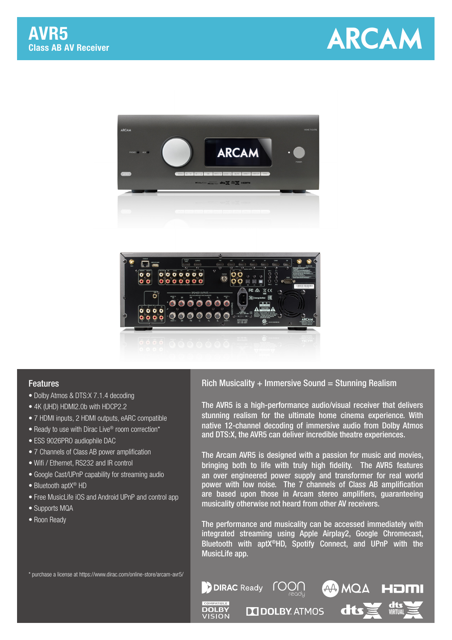





## Features

- Dolby Atmos & DTS:X 7.1.4 decoding
- 4K (UHD) HDMI2.0b with HDCP2.2
- 7 HDMI inputs, 2 HDMI outputs, eARC compatible
- Ready to use with Dirac Live® room correction\*
- ESS 9026PRO audiophile DAC
- 7 Channels of Class AB power amplification
- Wifi / Ethernet, RS232 and IR control
- Google Cast/UPnP capability for streaming audio
- Bluetooth aptX® HD
- Free MusicLife iOS and Android UPnP and control app
- Supports MQA
- Roon Ready

## Rich Musicality  $+$  Immersive Sound = Stunning Realism

The AVR5 is a high-performance audio/visual receiver that delivers stunning realism for the ultimate home cinema experience. With native 12-channel decoding of immersive audio from Dolby Atmos and DTS:X, the AVR5 can deliver incredible theatre experiences.

The Arcam AVR5 is designed with a passion for music and movies, bringing both to life with truly high fidelity. The AVR5 features an over engineered power supply and transformer for real world power with low noise. The 7 channels of Class AB amplification are based upon those in Arcam stereo amplifiers, guaranteeing musicality otherwise not heard from other AV receivers.

The performance and musicality can be accessed immediately with integrated streaming using Apple Airplay2, Google Chromecast, Bluetooth with aptX®HD, Spotify Connect, and UPnP with the MusicLife app.

**Git** 

56 M

\* purchase a license at https://www.dirac.com/online-store/arcam-avr5/

**DOLBY** VISION

**DIRAC** Ready

**DOLBY ATMOS** 

roon